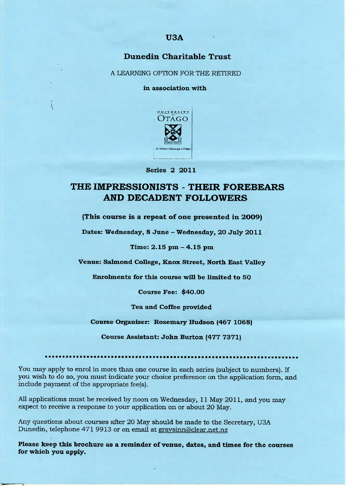# **Dunedin Charitable Trust**

A LEARNING OPTION FOR THE RETIRED

**in association with**



**Series 2 2011**

# **THE IMPRESSIONISTS - THEIR FOREBEARS AND DECADENT FOLLOWERS**

**(This course is a repeat of one presented in 2OO9)**

**Dates: Wednesday, 8 June -** Wednesday, 20 July 2O11

## **Time: 2.15 pm - 4.15 pm**

**Venue: Salmond College, Knox Street, North East Valley**

**Enrolments for this course will he limited to 5O**

**Course Fee:** \$4O.OO

**Tea and Coffee provided**

**Course Organiser: Rosemary Hudson (467 1O68)**

**Course Assistant: John Burton (477 7371)**

You may apply to enrol in more than one course in each series (subject to numbers). If you wish to do so, you must indicate your choice preference on the application form, and include payment of the appropriate fee(s).

All applications must be received by noon on Wednesday, 11 May 2011, and you may expect to receive a response to your application on or about 20 May.

Any questions about courses after 20 May should be made to the Secretary, USA Dunedin, telephone 471 9913 or on email at graysinn@clear.net.nz

**Please keep this brochure as a reminder of venue, dates, and times for the courses for which you apply.**